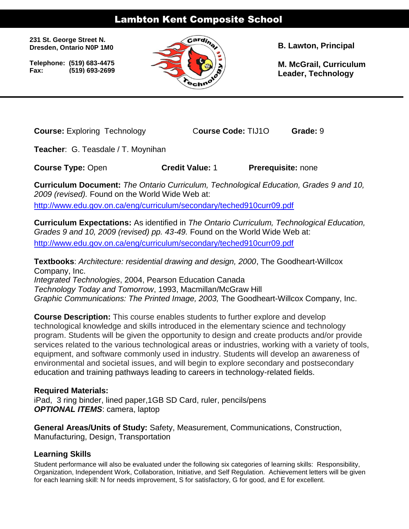# Lambton Kent Composite School

**231 St. George Street N. Dresden, Ontario N0P 1M0**

 **Telephone: (519) 683-4475 Fax: (519) 693-2699**



**B. Lawton, Principal**

**M. McGrail, Curriculum Leader, Technology**

**Course:** Exploring Technology C**ourse Code:** TIJ1O **Grade:** 9

**Teacher**: G. Teasdale / T. Moynihan

**Course Type:** Open **Credit Value:** 1 **Prerequisite:** none

**Curriculum Document:** *The Ontario Curriculum, Technological Education, Grades 9 and 10, 2009 (revised).* Found on the World Wide Web at:

<http://www.edu.gov.on.ca/eng/curriculum/secondary/teched910curr09.pdf>

**Curriculum Expectations:** As identified in *The Ontario Curriculum, Technological Education, Grades 9 and 10, 2009 (revised) pp. 43-49.* Found on the World Wide Web at: <http://www.edu.gov.on.ca/eng/curriculum/secondary/teched910curr09.pdf>

**Textbooks**: *Architecture: residential drawing and design, 2000*, The Goodheart-Willcox Company, Inc.

*Integrated Technologies*, 2004, Pearson Education Canada *Technology Today and Tomorrow*, 1993, Macmillan/McGraw Hill *Graphic Communications: The Printed Image, 2003,* The Goodheart-Willcox Company, Inc.

**Course Description:** This course enables students to further explore and develop technological knowledge and skills introduced in the elementary science and technology program. Students will be given the opportunity to design and create products and/or provide services related to the various technological areas or industries, working with a variety of tools, equipment, and software commonly used in industry. Students will develop an awareness of environmental and societal issues, and will begin to explore secondary and postsecondary education and training pathways leading to careers in technology-related fields.

# **Required Materials:**

iPad, 3 ring binder, lined paper,1GB SD Card, ruler, pencils/pens *OPTIONAL ITEMS*: camera, laptop

**General Areas/Units of Study:** Safety, Measurement, Communications, Construction, Manufacturing, Design, Transportation

# **Learning Skills**

Student performance will also be evaluated under the following six categories of learning skills: Responsibility, Organization, Independent Work, Collaboration, Initiative, and Self Regulation. Achievement letters will be given for each learning skill: N for needs improvement, S for satisfactory, G for good, and E for excellent.